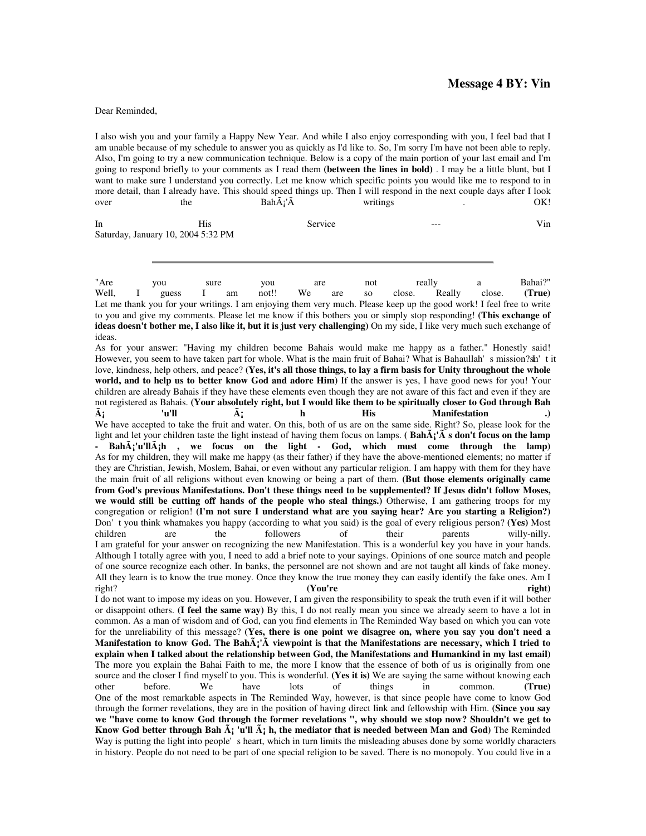## **Message 4 BY: Vin**

## Dear Reminded,

I also wish you and your family a Happy New Year. And while I also enjoy corresponding with you, I feel bad that I am unable because of my schedule to answer you as quickly as I'd like to. So, I'm sorry I'm have not been able to reply. Also, I'm going to try a new communication technique. Below is a copy of the main portion of your last email and I'm going to respond briefly to your comments as I read them **(between the lines in bold)** . I may be a little blunt, but I want to make sure I understand you correctly. Let me know which specific points you would like me to respond to in more detail, than I already have. This should speed things up. Then I will respond in the next couple days after I look over the Bah $\tilde{A}$ ;' $\tilde{A}$  writings over the Bah $\ddot{A}$ 'Å writings . OK!

In His Service --- Vin Saturday, January 10, 2004 5:32 PM

"Are you sure you are not really a Bahai?" Well, I guess I am not!! We are so close. Really close. **(True)**  Let me thank you for your writings. I am enjoying them very much. Please keep up the good work! I feel free to write to you and give my comments. Please let me know if this bothers you or simply stop responding! **(This exchange of ideas doesn't bother me, I also like it, but it is just very challenging)** On my side, I like very much such exchange of ideas.

As for your answer: "Having my children become Bahais would make me happy as a father." Honestly said! However, you seem to have taken part for whole. What is the main fruit of Bahai? What is Bahaullah's mission? sh't it love, kindness, help others, and peace? **(Yes, it's all those things, to lay a firm basis for Unity throughout the whole world, and to help us to better know God and adore Him)** If the answer is yes, I have good news for you! Your children are already Bahais if they have these elements even though they are not aware of this fact and even if they are not registered as Bahais. **(Your absolutely right, but I would like them to be spiritually closer to God through Bah á 'u'll á h His Manifestation .)**  We have accepted to take the fruit and water. On this, both of us are on the same side. Right? So, please look for the light and let your children taste the light instead of having them focus on lamps. **( Bahá'Ã s don't focus on the lamp - Bahá'u'lláh , we focus on the light - God, which must come through the lamp)**  As for my children, they will make me happy (as their father) if they have the above-mentioned elements; no matter if they are Christian, Jewish, Moslem, Bahai, or even without any particular religion. I am happy with them for they have the main fruit of all religions without even knowing or being a part of them. **(But those elements originally came from God's previous Manifestations. Don't these things need to be supplemented? If Jesus didn't follow Moses, we would still be cutting off hands of the people who steal things.)** Otherwise, I am gathering troops for my congregation or religion! **(I'm not sure I understand what are you saying hear? Are you starting a Religion?)**  Don't you think whatmakes you happy (according to what you said) is the goal of every religious person? **(Yes)** Most children are the followers of their parents willy-nilly. I am grateful for your answer on recognizing the new Manifestation. This is a wonderful key you have in your hands. Although I totally agree with you, I need to add a brief note to your sayings. Opinions of one source match and people of one source recognize each other. In banks, the personnel are not shown and are not taught all kinds of fake money. All they learn is to know the true money. Once they know the true money they can easily identify the fake ones. Am I right? **(You're right)**  I do not want to impose my ideas on you. However, I am given the responsibility to speak the truth even if it will bother or disappoint others. **(I feel the same way)** By this, I do not really mean you since we already seem to have a lot in common. As a man of wisdom and of God, can you find elements in The Reminded Way based on which you can vote for the unreliability of this message? **(Yes, there is one point we disagree on, where you say you don't need a Manifestation to know God. The Bahá'Ã viewpoint is that the Manifestations are necessary, which I tried to explain when I talked about the relationship between God, the Manifestations and Humankind in my last email)**  The more you explain the Bahai Faith to me, the more I know that the essence of both of us is originally from one source and the closer I find myself to you. This is wonderful. (Yes it is) We are saying the same without knowing each other before. We have lots of things in common. (True) other before. We have lots of things in common. **(True)**  One of the most remarkable aspects in The Reminded Way, however, is that since people have come to know God through the former revelations, they are in the position of having direct link and fellowship with Him. **(Since you say we "have come to know God through the former revelations ", why should we stop now? Shouldn't we get to Know God better through Bah**  $\tilde{A}$  **'u'll**  $\tilde{A}$  **h, the mediator that is needed between Man and God)** The Reminded

Way is putting the light into people's heart, which in turn limits the misleading abuses done by some worldly characters in history. People do not need to be part of one special religion to be saved. There is no monopoly. You could live in a